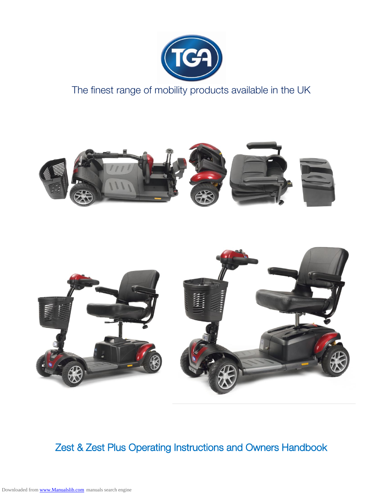

The finest range of mobility products available in the UK





Zest & Zest Plus Operating Instructions and Owners Handbook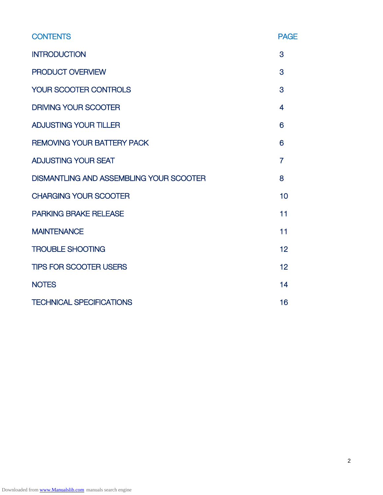| <b>CONTENTS</b>                                | <b>PAGE</b>    |
|------------------------------------------------|----------------|
| <b>INTRODUCTION</b>                            | 3              |
| PRODUCT OVERVIEW                               | 3              |
| <b>YOUR SCOOTER CONTROLS</b>                   | 3              |
| <b>DRIVING YOUR SCOOTER</b>                    | 4              |
| <b>ADJUSTING YOUR TILLER</b>                   | 6              |
| <b>REMOVING YOUR BATTERY PACK</b>              | 6              |
| <b>ADJUSTING YOUR SEAT</b>                     | $\overline{7}$ |
| <b>DISMANTLING AND ASSEMBLING YOUR SCOOTER</b> | 8              |
| <b>CHARGING YOUR SCOOTER</b>                   | 10             |
| <b>PARKING BRAKE RELEASE</b>                   | 11             |
| <b>MAINTENANCE</b>                             | 11             |
| <b>TROUBLE SHOOTING</b>                        | 12             |
| <b>TIPS FOR SCOOTER USERS</b>                  | 12             |
| <b>NOTES</b>                                   | 14             |
| <b>TECHNICAL SPECIFICATIONS</b>                | 16             |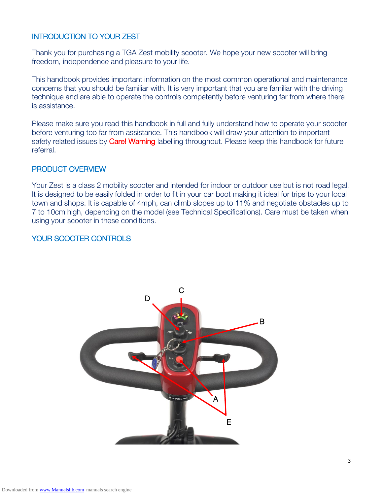### INTRODUCTION TO YOUR ZEST

Thank you for purchasing a TGA Zest mobility scooter. We hope your new scooter will bring freedom, independence and pleasure to your life.

This handbook provides important information on the most common operational and maintenance concerns that you should be familiar with. It is very important that you are familiar with the driving technique and are able to operate the controls competently before venturing far from where there is assistance.

Please make sure you read this handbook in full and fully understand how to operate your scooter before venturing too far from assistance. This handbook will draw your attention to important safety related issues by **Care! Warning** labelling throughout. Please keep this handbook for future referral.

### PRODUCT OVERVIEW

Your Zest is a class 2 mobility scooter and intended for indoor or outdoor use but is not road legal. It is designed to be easily folded in order to fit in your car boot making it ideal for trips to your local town and shops. It is capable of 4mph, can climb slopes up to 11% and negotiate obstacles up to 7 to 10cm high, depending on the model (see Technical Specifications). Care must be taken when using your scooter in these conditions.

# YOUR SCOOTER CONTROLS

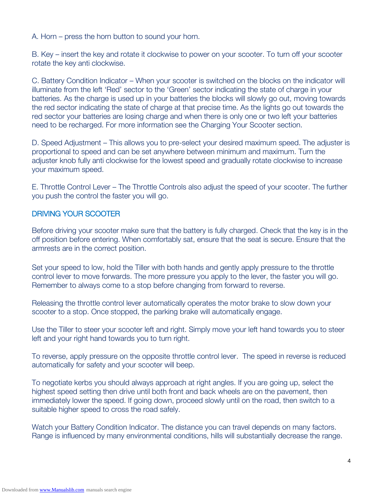A. Horn – press the horn button to sound your horn.

B. Key – insert the key and rotate it clockwise to power on your scooter. To turn off your scooter rotate the key anti clockwise.

C. Battery Condition Indicator – When your scooter is switched on the blocks on the indicator will illuminate from the left 'Red' sector to the 'Green' sector indicating the state of charge in your batteries. As the charge is used up in your batteries the blocks will slowly go out, moving towards the red sector indicating the state of charge at that precise time. As the lights go out towards the red sector your batteries are losing charge and when there is only one or two left your batteries need to be recharged. For more information see the Charging Your Scooter section.

D. Speed Adjustment – This allows you to pre-select your desired maximum speed. The adjuster is proportional to speed and can be set anywhere between minimum and maximum. Turn the adjuster knob fully anti clockwise for the lowest speed and gradually rotate clockwise to increase your maximum speed.

E. Throttle Control Lever – The Throttle Controls also adjust the speed of your scooter. The further you push the control the faster you will go.

### DRIVING YOUR SCOOTER

Before driving your scooter make sure that the battery is fully charged. Check that the key is in the off position before entering. When comfortably sat, ensure that the seat is secure. Ensure that the armrests are in the correct position.

Set your speed to low, hold the Tiller with both hands and gently apply pressure to the throttle control lever to move forwards. The more pressure you apply to the lever, the faster you will go. Remember to always come to a stop before changing from forward to reverse.

Releasing the throttle control lever automatically operates the motor brake to slow down your scooter to a stop. Once stopped, the parking brake will automatically engage.

Use the Tiller to steer your scooter left and right. Simply move your left hand towards you to steer left and your right hand towards you to turn right.

To reverse, apply pressure on the opposite throttle control lever. The speed in reverse is reduced automatically for safety and your scooter will beep.

To negotiate kerbs you should always approach at right angles. If you are going up, select the highest speed setting then drive until both front and back wheels are on the pavement, then immediately lower the speed. If going down, proceed slowly until on the road, then switch to a suitable higher speed to cross the road safely.

Watch your Battery Condition Indicator. The distance you can travel depends on many factors. Range is influenced by many environmental conditions, hills will substantially decrease the range.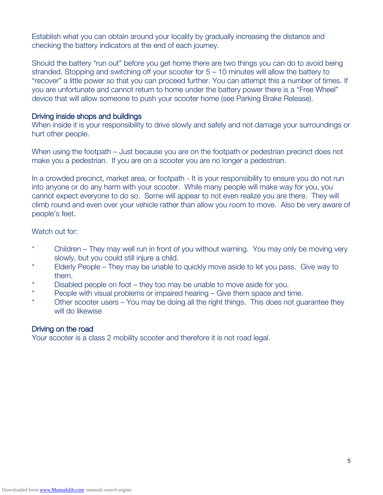Establish what you can obtain around your locality by gradually increasing the distance and checking the battery indicators at the end of each journey.

Should the battery "run out" before you get home there are two things you can do to avoid being stranded. Stopping and switching off your scooter for 5 – 10 minutes will allow the battery to "recover" a little power so that you can proceed further. You can attempt this a number of times. If you are unfortunate and cannot return to home under the battery power there is a "Free Wheel" device that will allow someone to push your scooter home (see Parking Brake Release).

#### Driving inside shops and buildings

When inside it is your responsibility to drive slowly and safely and not damage your surroundings or hurt other people.

When using the footpath – Just because you are on the footpath or pedestrian precinct does not make you a pedestrian. If you are on a scooter you are no longer a pedestrian.

In a crowded precinct, market area, or footpath - It is your responsibility to ensure you do not run into anyone or do any harm with your scooter. While many people will make way for you, you cannot expect everyone to do so. Some will appear to not even realize you are there. They will climb round and even over your vehicle rather than allow you room to move. Also be very aware of people's feet.

### Watch out for:

- \* Children They may well run in front of you without warning. You may only be moving very slowly, but you could still injure a child.
- \* Elderly People They may be unable to quickly move aside to let you pass. Give way to them.
- Disabled people on foot they too may be unable to move aside for you.
- \* People with visual problems or impaired hearing Give them space and time.
- Other scooter users You may be doing all the right things. This does not guarantee they will do likewise

### Driving on the road

Your scooter is a class 2 mobility scooter and therefore it is not road legal.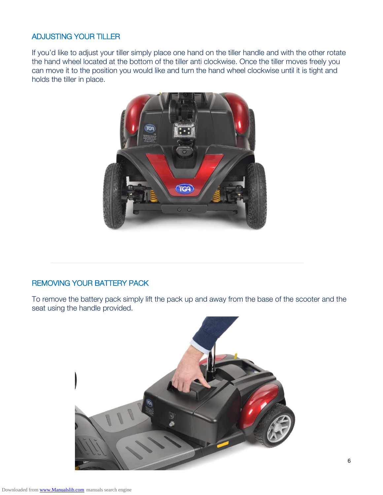# ADJUSTING YOUR TILLER

If you'd like to adjust your tiller simply place one hand on the tiller handle and with the other rotate the hand wheel located at the bottom of the tiller anti clockwise. Once the tiller moves freely you can move it to the position you would like and turn the hand wheel clockwise until it is tight and holds the tiller in place.



# REMOVING YOUR BATTERY PACK

To remove the battery pack simply lift the pack up and away from the base of the scooter and the seat using the handle provided.

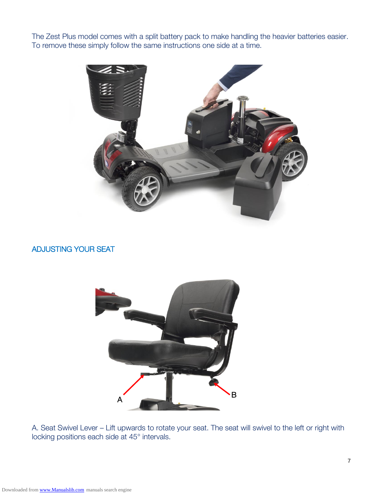The Zest Plus model comes with a split battery pack to make handling the heavier batteries easier. To remove these simply follow the same instructions one side at a time.



# ADJUSTING YOUR SEAT



A. Seat Swivel Lever – Lift upwards to rotate your seat. The seat will swivel to the left or right with locking positions each side at 45° intervals.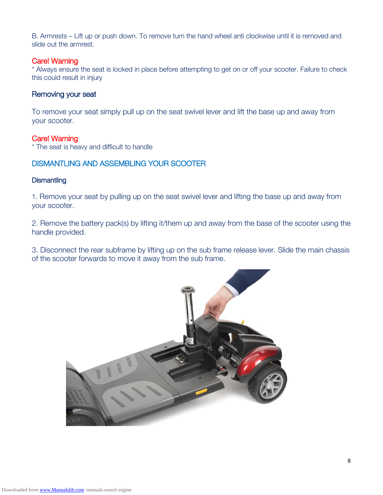B. Armrests – Lift up or push down. To remove turn the hand wheel anti clockwise until it is removed and slide out the armrest.

#### Care! Warning

\* Always ensure the seat is locked in place before attempting to get on or off your scooter. Failure to check this could result in injury

### Removing your seat

To remove your seat simply pull up on the seat swivel lever and lift the base up and away from your scooter.

### Care! Warning

\* The seat is heavy and difficult to handle

# DISMANTLING AND ASSEMBLING YOUR SCOOTER

#### **Dismantling**

1. Remove your seat by pulling up on the seat swivel lever and lifting the base up and away from your scooter.

2. Remove the battery pack(s) by lifting it/them up and away from the base of the scooter using the handle provided.

3. Disconnect the rear subframe by lifting up on the sub frame release lever. Slide the main chassis of the scooter forwards to move it away from the sub frame.

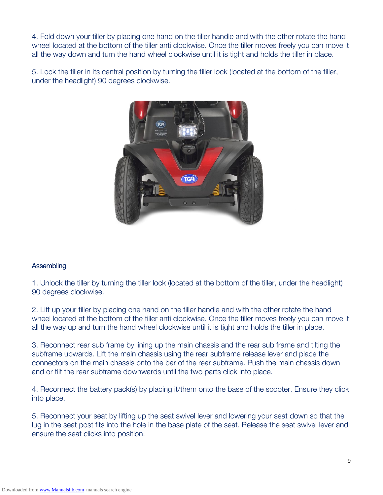4. Fold down your tiller by placing one hand on the tiller handle and with the other rotate the hand wheel located at the bottom of the tiller anti clockwise. Once the tiller moves freely you can move it all the way down and turn the hand wheel clockwise until it is tight and holds the tiller in place.

5. Lock the tiller in its central position by turning the tiller lock (located at the bottom of the tiller, under the headlight) 90 degrees clockwise.



### **Assembling**

1. Unlock the tiller by turning the tiller lock (located at the bottom of the tiller, under the headlight) 90 degrees clockwise.

2. Lift up your tiller by placing one hand on the tiller handle and with the other rotate the hand wheel located at the bottom of the tiller anti clockwise. Once the tiller moves freely you can move it all the way up and turn the hand wheel clockwise until it is tight and holds the tiller in place.

3. Reconnect rear sub frame by lining up the main chassis and the rear sub frame and tilting the subframe upwards. Lift the main chassis using the rear subframe release lever and place the connectors on the main chassis onto the bar of the rear subframe. Push the main chassis down and or tilt the rear subframe downwards until the two parts click into place.

4. Reconnect the battery pack(s) by placing it/them onto the base of the scooter. Ensure they click into place.

5. Reconnect your seat by lifting up the seat swivel lever and lowering your seat down so that the lug in the seat post fits into the hole in the base plate of the seat. Release the seat swivel lever and ensure the seat clicks into position.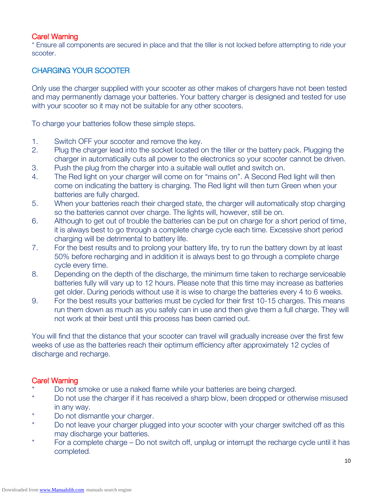### Care! Warning

\* Ensure all components are secured in place and that the tiller is not locked before attempting to ride your scooter.

# CHARGING YOUR SCOOTER

Only use the charger supplied with your scooter as other makes of chargers have not been tested and may permanently damage your batteries. Your battery charger is designed and tested for use with your scooter so it may not be suitable for any other scooters.

To charge your batteries follow these simple steps.

- 1. Switch OFF your scooter and remove the key.
- 2. Plug the charger lead into the socket located on the tiller or the battery pack. Plugging the charger in automatically cuts all power to the electronics so your scooter cannot be driven.
- 3. Push the plug from the charger into a suitable wall outlet and switch on.
- 4. The Red light on your charger will come on for "mains on". A Second Red light will then come on indicating the battery is charging. The Red light will then turn Green when your batteries are fully charged.
- 5. When your batteries reach their charged state, the charger will automatically stop charging so the batteries cannot over charge. The lights will, however, still be on.
- 6. Although to get out of trouble the batteries can be put on charge for a short period of time, it is always best to go through a complete charge cycle each time. Excessive short period charging will be detrimental to battery life.
- 7. For the best results and to prolong your battery life, try to run the battery down by at least 50% before recharging and in addition it is always best to go through a complete charge cycle every time.
- 8. Depending on the depth of the discharge, the minimum time taken to recharge serviceable batteries fully will vary up to 12 hours. Please note that this time may increase as batteries get older. During periods without use it is wise to charge the batteries every 4 to 6 weeks.
- 9. For the best results your batteries must be cycled for their first 10-15 charges. This means run them down as much as you safely can in use and then give them a full charge. They will not work at their best until this process has been carried out.

You will find that the distance that your scooter can travel will gradually increase over the first few weeks of use as the batteries reach their optimum efficiency after approximately 12 cycles of discharge and recharge.

### Care! Warning

- Do not smoke or use a naked flame while your batteries are being charged.
- \* Do not use the charger if it has received a sharp blow, been dropped or otherwise misused in any way.
- Do not dismantle your charger.
- \* Do not leave your charger plugged into your scooter with your charger switched off as this may discharge your batteries.
- \* For a complete charge Do not switch off, unplug or interrupt the recharge cycle until it has completed.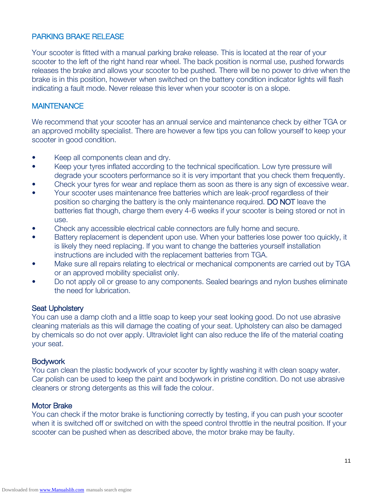### PARKING BRAKE RELEASE

Your scooter is fitted with a manual parking brake release. This is located at the rear of your scooter to the left of the right hand rear wheel. The back position is normal use, pushed forwards releases the brake and allows your scooter to be pushed. There will be no power to drive when the brake is in this position, however when switched on the battery condition indicator lights will flash indicating a fault mode. Never release this lever when your scooter is on a slope.

### **MAINTENANCE**

We recommend that your scooter has an annual service and maintenance check by either TGA or an approved mobility specialist. There are however a few tips you can follow yourself to keep your scooter in good condition.

- Keep all components clean and dry.
- Keep your tyres inflated according to the technical specification. Low tyre pressure will degrade your scooters performance so it is very important that you check them frequently.
- Check your tyres for wear and replace them as soon as there is any sign of excessive wear.
- Your scooter uses maintenance free batteries which are leak-proof regardless of their position so charging the battery is the only maintenance required. DO NOT leave the batteries flat though, charge them every 4-6 weeks if your scooter is being stored or not in use.
- Check any accessible electrical cable connectors are fully home and secure.
- Battery replacement is dependent upon use. When your batteries lose power too quickly, it is likely they need replacing. If you want to change the batteries yourself installation instructions are included with the replacement batteries from TGA.
- Make sure all repairs relating to electrical or mechanical components are carried out by TGA or an approved mobility specialist only.
- Do not apply oil or grease to any components. Sealed bearings and nylon bushes eliminate the need for lubrication.

#### Seat Upholstery

You can use a damp cloth and a little soap to keep your seat looking good. Do not use abrasive cleaning materials as this will damage the coating of your seat. Upholstery can also be damaged by chemicals so do not over apply. Ultraviolet light can also reduce the life of the material coating your seat.

#### Bodywork

You can clean the plastic bodywork of your scooter by lightly washing it with clean soapy water. Car polish can be used to keep the paint and bodywork in pristine condition. Do not use abrasive cleaners or strong detergents as this will fade the colour.

#### Motor Brake

You can check if the motor brake is functioning correctly by testing, if you can push your scooter when it is switched off or switched on with the speed control throttle in the neutral position. If your scooter can be pushed when as described above, the motor brake may be faulty.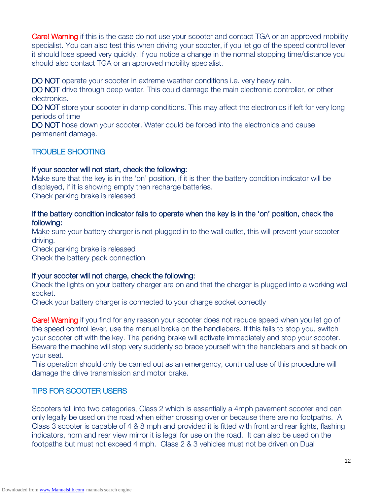**Care! Warning** if this is the case do not use your scooter and contact TGA or an approved mobility specialist. You can also test this when driving your scooter, if you let go of the speed control lever it should lose speed very quickly. If you notice a change in the normal stopping time/distance you should also contact TGA or an approved mobility specialist.

DO NOT operate your scooter in extreme weather conditions i.e. very heavy rain.

DO NOT drive through deep water. This could damage the main electronic controller, or other electronics.

DO NOT store your scooter in damp conditions. This may affect the electronics if left for very long periods of time

DO NOT hose down your scooter. Water could be forced into the electronics and cause permanent damage.

### TROUBLE SHOOTING

#### If your scooter will not start, check the following:

Make sure that the key is in the 'on' position, if it is then the battery condition indicator will be displayed, if it is showing empty then recharge batteries. Check parking brake is released

### If the battery condition indicator fails to operate when the key is in the 'on' position, check the following:

Make sure your battery charger is not plugged in to the wall outlet, this will prevent your scooter driving.

Check parking brake is released Check the battery pack connection

### If your scooter will not charge, check the following:

Check the lights on your battery charger are on and that the charger is plugged into a working wall socket.

Check your battery charger is connected to your charge socket correctly

**Care! Warning** if you find for any reason your scooter does not reduce speed when you let go of the speed control lever, use the manual brake on the handlebars. If this fails to stop you, switch your scooter off with the key. The parking brake will activate immediately and stop your scooter. Beware the machine will stop very suddenly so brace yourself with the handlebars and sit back on your seat.

This operation should only be carried out as an emergency, continual use of this procedure will damage the drive transmission and motor brake.

### TIPS FOR SCOOTER USERS

Scooters fall into two categories, Class 2 which is essentially a 4mph pavement scooter and can only legally be used on the road when either crossing over or because there are no footpaths. A Class 3 scooter is capable of 4 & 8 mph and provided it is fitted with front and rear lights, flashing indicators, horn and rear view mirror it is legal for use on the road. It can also be used on the footpaths but must not exceed 4 mph. Class 2 & 3 vehicles must not be driven on Dual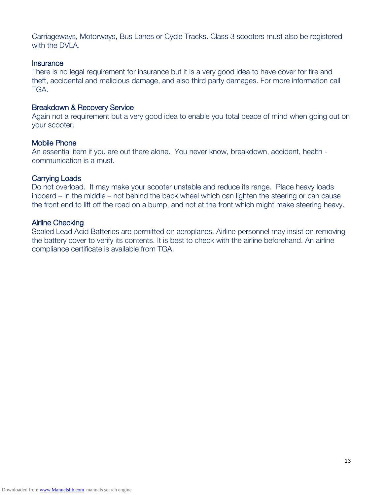Carriageways, Motorways, Bus Lanes or Cycle Tracks. Class 3 scooters must also be registered with the DVLA.

#### **Insurance**

There is no legal requirement for insurance but it is a very good idea to have cover for fire and theft, accidental and malicious damage, and also third party damages. For more information call TGA.

#### Breakdown & Recovery Service

Again not a requirement but a very good idea to enable you total peace of mind when going out on your scooter.

#### Mobile Phone

An essential item if you are out there alone. You never know, breakdown, accident, health communication is a must.

#### Carrying Loads

Do not overload. It may make your scooter unstable and reduce its range. Place heavy loads inboard – in the middle – not behind the back wheel which can lighten the steering or can cause the front end to lift off the road on a bump, and not at the front which might make steering heavy.

#### Airline Checking

Sealed Lead Acid Batteries are permitted on aeroplanes. Airline personnel may insist on removing the battery cover to verify its contents. It is best to check with the airline beforehand. An airline compliance certificate is available from TGA.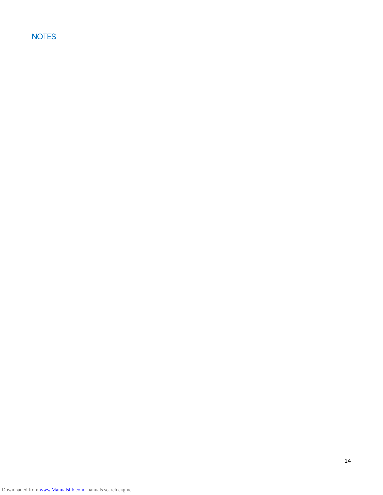